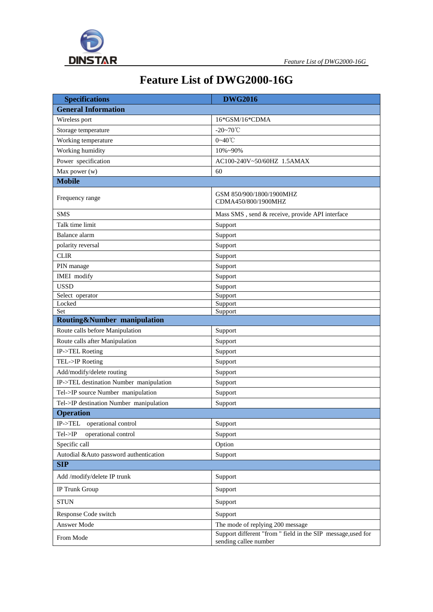

## **Feature List of DWG2000-16G**

| <b>Specifications</b>                   | <b>DWG2016</b>                                                                        |  |
|-----------------------------------------|---------------------------------------------------------------------------------------|--|
| <b>General Information</b>              |                                                                                       |  |
| Wireless port                           | 16*GSM/16*CDMA                                                                        |  |
| Storage temperature                     | $-20 - 70^{\circ}$ C                                                                  |  |
| Working temperature                     | $0 - 40^{\circ}$ C                                                                    |  |
| Working humidity                        | 10%~90%                                                                               |  |
| Power specification                     | AC100-240V~50/60HZ 1.5AMAX                                                            |  |
| Max power (w)                           | 60                                                                                    |  |
| <b>Mobile</b>                           |                                                                                       |  |
| Frequency range                         | GSM 850/900/1800/1900MHZ<br>CDMA450/800/1900MHZ                                       |  |
| <b>SMS</b>                              | Mass SMS, send & receive, provide API interface                                       |  |
| Talk time limit                         | Support                                                                               |  |
| Balance alarm                           | Support                                                                               |  |
| polarity reversal                       | Support                                                                               |  |
| <b>CLIR</b>                             | Support                                                                               |  |
| PIN manage                              | Support                                                                               |  |
| <b>IMEI</b> modify                      | Support                                                                               |  |
| <b>USSD</b>                             | Support                                                                               |  |
| Select operator                         | Support                                                                               |  |
| Locked<br>Set                           | Support                                                                               |  |
| Routing&Number manipulation             | Support                                                                               |  |
| Route calls before Manipulation         | Support                                                                               |  |
| Route calls after Manipulation          | Support                                                                               |  |
| IP->TEL Roeting                         | Support                                                                               |  |
| TEL->IP Roeting                         | Support                                                                               |  |
| Add/modify/delete routing               | Support                                                                               |  |
| IP->TEL destination Number manipulation | Support                                                                               |  |
| Tel->IP source Number manipulation      | Support                                                                               |  |
| Tel->IP destination Number manipulation | Support                                                                               |  |
| <b>Operation</b>                        |                                                                                       |  |
| $IP TEL$<br>operational control         | Support                                                                               |  |
| Tel > IP<br>operational control         | Support                                                                               |  |
| Specific call                           | Option                                                                                |  |
| Autodial &Auto password authentication  | Support                                                                               |  |
| <b>SIP</b>                              |                                                                                       |  |
| Add /modify/delete IP trunk             | Support                                                                               |  |
| IP Trunk Group                          | Support                                                                               |  |
| <b>STUN</b>                             | Support                                                                               |  |
| Response Code switch                    | Support                                                                               |  |
| Answer Mode                             | The mode of replying 200 message                                                      |  |
| From Mode                               | Support different "from " field in the SIP message, used for<br>sending callee number |  |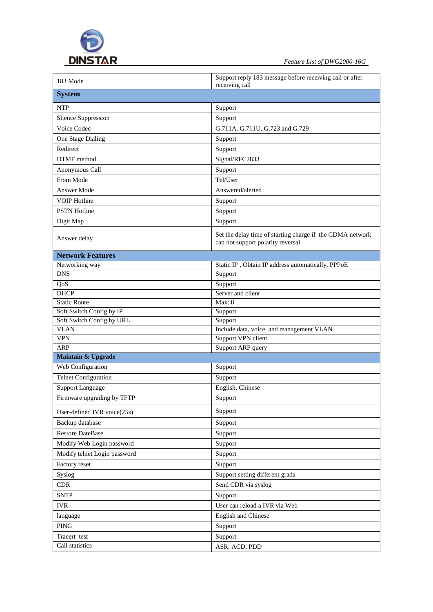

| 183 Mode                                 | Support reply 183 message before receiving call or after                                       |
|------------------------------------------|------------------------------------------------------------------------------------------------|
| <b>System</b>                            | receiving call                                                                                 |
|                                          |                                                                                                |
| <b>NTP</b>                               | Support                                                                                        |
| <b>Slience Suppression</b>               | Support                                                                                        |
| Voice Codec                              | G.711A, G.711U, G.723 and G.729                                                                |
| One Stage Dialing                        | Support                                                                                        |
| Redirect                                 | Support                                                                                        |
| DTMF method                              | Signal/RFC2833                                                                                 |
| Anonymous Call                           | Support                                                                                        |
| From Mode                                | Tel/User                                                                                       |
| Answer Mode                              | Answered/alerted                                                                               |
| <b>VOIP</b> Hotline                      | Support                                                                                        |
| <b>PSTN Hotline</b>                      | Support                                                                                        |
| Digit Map                                | Support                                                                                        |
| Answer delay                             | Set the delay time of starting charge if the CDMA network<br>can not support polarity reversal |
| <b>Network Features</b>                  |                                                                                                |
| Networking way                           | Static IP, Obtain IP address automatically, PPPoE                                              |
| <b>DNS</b>                               | Support                                                                                        |
| QoS                                      | Support                                                                                        |
| <b>DHCP</b>                              | Server and client                                                                              |
| <b>Static Route</b>                      | <b>Max: 8</b>                                                                                  |
| Soft Switch Config by IP                 | Support                                                                                        |
| Soft Switch Config by URL<br><b>VLAN</b> | Support<br>Include data, voice, and management VLAN                                            |
| <b>VPN</b>                               | Support VPN client                                                                             |
| <b>ARP</b>                               | Support ARP query                                                                              |
| Maintain & Upgrade                       |                                                                                                |
| Web Configuration                        | Support                                                                                        |
| <b>Telnet Configuration</b>              | Support                                                                                        |
| <b>Support Language</b>                  | English, Chinese                                                                               |
| Firmware upgrading by TFTP               | Support                                                                                        |
| User-defined IVR voice(25s)              | Support                                                                                        |
| Backup database                          | Support                                                                                        |
| <b>Restore DateBase</b>                  | Support                                                                                        |
| Modify Web Login password                | Support                                                                                        |
| Modify telnet Login password             | Support                                                                                        |
| Factory reset                            | Support                                                                                        |
| Syslog                                   | Support setting different grada                                                                |
| <b>CDR</b>                               | Send CDR via syslog                                                                            |
| <b>SNTP</b>                              | Support                                                                                        |
| <b>IVR</b>                               | User can reload a IVR via Web                                                                  |
|                                          | English and Chinese                                                                            |
| language                                 |                                                                                                |
| <b>PING</b>                              | Support                                                                                        |
| Tracert test<br>Call statistics          | Support<br>ASR, ACD, PDD                                                                       |
|                                          |                                                                                                |